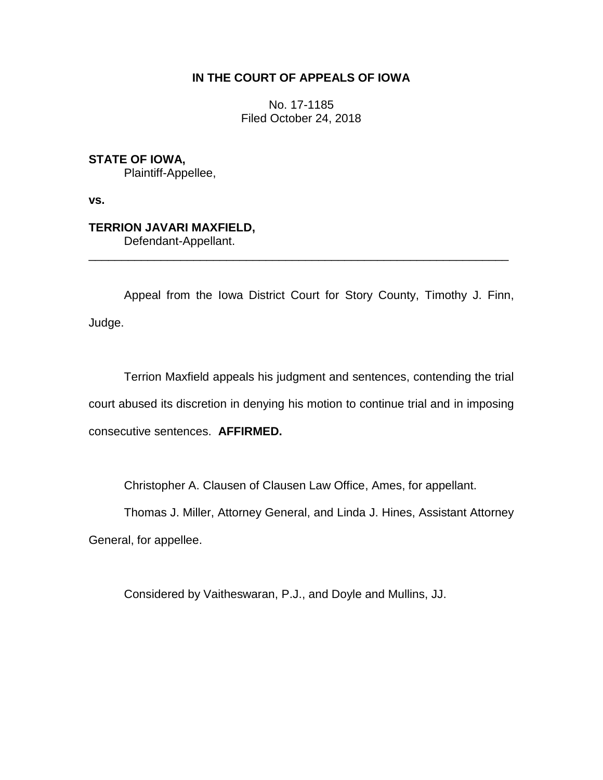## **IN THE COURT OF APPEALS OF IOWA**

No. 17-1185 Filed October 24, 2018

**STATE OF IOWA,**

Plaintiff-Appellee,

**vs.**

**TERRION JAVARI MAXFIELD,** Defendant-Appellant.

\_\_\_\_\_\_\_\_\_\_\_\_\_\_\_\_\_\_\_\_\_\_\_\_\_\_\_\_\_\_\_\_\_\_\_\_\_\_\_\_\_\_\_\_\_\_\_\_\_\_\_\_\_\_\_\_\_\_\_\_\_\_\_\_

Appeal from the Iowa District Court for Story County, Timothy J. Finn, Judge.

Terrion Maxfield appeals his judgment and sentences, contending the trial court abused its discretion in denying his motion to continue trial and in imposing consecutive sentences. **AFFIRMED.**

Christopher A. Clausen of Clausen Law Office, Ames, for appellant.

Thomas J. Miller, Attorney General, and Linda J. Hines, Assistant Attorney General, for appellee.

Considered by Vaitheswaran, P.J., and Doyle and Mullins, JJ.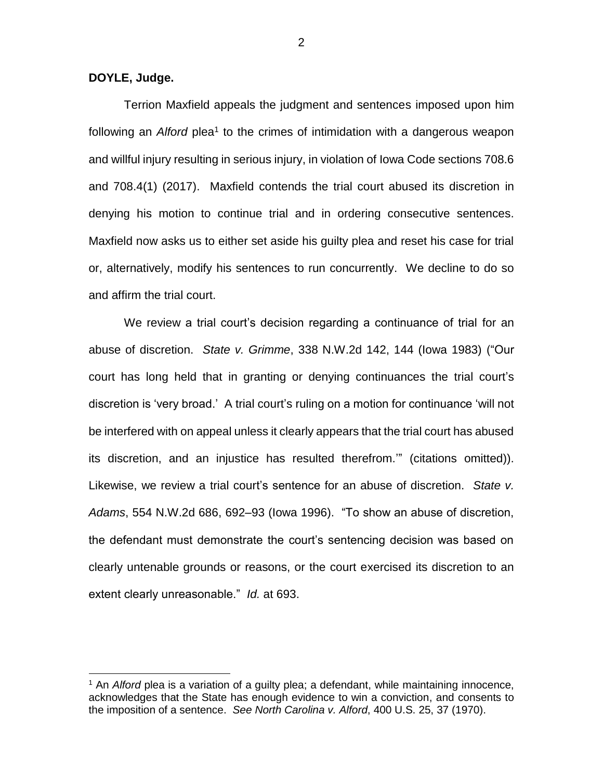**DOYLE, Judge.**

 $\overline{a}$ 

Terrion Maxfield appeals the judgment and sentences imposed upon him following an *Alford* plea<sup>1</sup> to the crimes of intimidation with a dangerous weapon and willful injury resulting in serious injury, in violation of Iowa Code sections 708.6 and 708.4(1) (2017). Maxfield contends the trial court abused its discretion in denying his motion to continue trial and in ordering consecutive sentences. Maxfield now asks us to either set aside his guilty plea and reset his case for trial or, alternatively, modify his sentences to run concurrently. We decline to do so and affirm the trial court.

We review a trial court's decision regarding a continuance of trial for an abuse of discretion. *State v. Grimme*, 338 N.W.2d 142, 144 (Iowa 1983) ("Our court has long held that in granting or denying continuances the trial court's discretion is 'very broad.' A trial court's ruling on a motion for continuance 'will not be interfered with on appeal unless it clearly appears that the trial court has abused its discretion, and an injustice has resulted therefrom.'" (citations omitted)). Likewise, we review a trial court's sentence for an abuse of discretion. *State v. Adams*, 554 N.W.2d 686, 692–93 (Iowa 1996). "To show an abuse of discretion, the defendant must demonstrate the court's sentencing decision was based on clearly untenable grounds or reasons, or the court exercised its discretion to an extent clearly unreasonable." *Id.* at 693.

2

<sup>1</sup> An *Alford* plea is a variation of a guilty plea; a defendant, while maintaining innocence, acknowledges that the State has enough evidence to win a conviction, and consents to the imposition of a sentence. *See North Carolina v. Alford*, 400 U.S. 25, 37 (1970).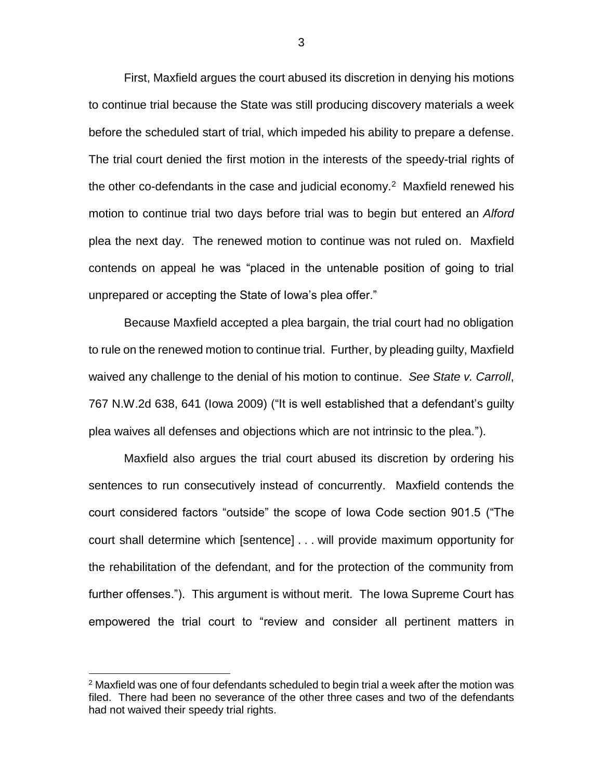First, Maxfield argues the court abused its discretion in denying his motions to continue trial because the State was still producing discovery materials a week before the scheduled start of trial, which impeded his ability to prepare a defense. The trial court denied the first motion in the interests of the speedy-trial rights of the other co-defendants in the case and judicial economy.<sup>2</sup> Maxfield renewed his motion to continue trial two days before trial was to begin but entered an *Alford* plea the next day. The renewed motion to continue was not ruled on. Maxfield contends on appeal he was "placed in the untenable position of going to trial unprepared or accepting the State of Iowa's plea offer."

Because Maxfield accepted a plea bargain, the trial court had no obligation to rule on the renewed motion to continue trial. Further, by pleading guilty, Maxfield waived any challenge to the denial of his motion to continue. *See State v. Carroll*, 767 N.W.2d 638, 641 (Iowa 2009) ("It is well established that a defendant's guilty plea waives all defenses and objections which are not intrinsic to the plea.").

Maxfield also argues the trial court abused its discretion by ordering his sentences to run consecutively instead of concurrently. Maxfield contends the court considered factors "outside" the scope of Iowa Code section 901.5 ("The court shall determine which [sentence] . . . will provide maximum opportunity for the rehabilitation of the defendant, and for the protection of the community from further offenses."). This argument is without merit. The Iowa Supreme Court has empowered the trial court to "review and consider all pertinent matters in

 $\overline{a}$ 

 $2$  Maxfield was one of four defendants scheduled to begin trial a week after the motion was filed. There had been no severance of the other three cases and two of the defendants had not waived their speedy trial rights.